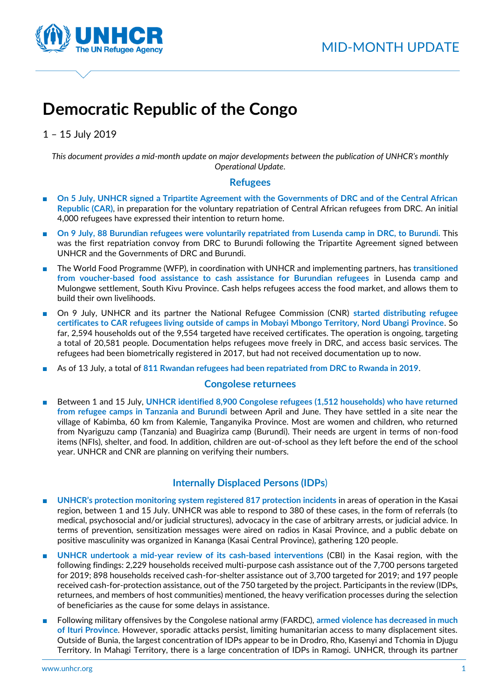

# **Democratic Republic of the Congo**

1 – 15 July 2019

*This document provides a mid-month update on major developments between the publication of UNHCR's monthly Operational Update.*

## **Refugees**

- On 5 July, UNHCR signed a Tripartite Agreement with the Governments of DRC and of the Central African **Republic (CAR)**, in preparation for the voluntary repatriation of Central African refugees from DRC. An initial 4,000 refugees have expressed their intention to return home.
- **On 9 July, 88 Burundian refugees were voluntarily repatriated from Lusenda camp in DRC, to Burundi.** This was the first repatriation convoy from DRC to Burundi following the Tripartite Agreement signed between UNHCR and the Governments of DRC and Burundi.
- The World Food Programme (WFP), in coordination with UNHCR and implementing partners, has transitioned **from voucher-based food assistance to cash assistance for Burundian refugees** in Lusenda camp and Mulongwe settlement, South Kivu Province. Cash helps refugees access the food market, and allows them to build their own livelihoods.
- On 9 July, UNHCR and its partner the National Refugee Commission (CNR) **started distributing refugee certificates to CAR refugees living outside of camps in Mobayi Mbongo Territory, Nord Ubangi Province**. So far, 2,594 households out of the 9,554 targeted have received certificates. The operation is ongoing, targeting a total of 20,581 people. Documentation helps refugees move freely in DRC, and access basic services. The refugees had been biometrically registered in 2017, but had not received documentation up to now.
- As of 13 July, a total of 811 Rwandan refugees had been repatriated from DRC to Rwanda in 2019.

## **Congolese returnees**

■ Between 1 and 15 July, UNHCR identified 8,900 Congolese refugees (1,512 households) who have returned **from refugee camps in Tanzania and Burundi** between April and June. They have settled in a site near the village of Kabimba, 60 km from Kalemie, Tanganyika Province. Most are women and children, who returned from Nyariguzu camp (Tanzania) and Buagiriza camp (Burundi). Their needs are urgent in terms of non-food items (NFIs), shelter, and food. In addition, children are out-of-school as they left before the end of the school year. UNHCR and CNR are planning on verifying their numbers.

# **Internally Displaced Persons (IDPs**)

- **UNHCR's protection monitoring system registered 817 protection incidents** in areas of operation in the Kasai region, between 1 and 15 July. UNHCR was able to respond to 380 of these cases, in the form of referrals (to medical, psychosocial and/or judicial structures), advocacy in the case of arbitrary arrests, or judicial advice. In terms of prevention, sensitization messages were aired on radios in Kasai Province, and a public debate on positive masculinity was organized in Kananga (Kasai Central Province), gathering 120 people.
- **UNHCR undertook a mid-year review of its cash-based interventions** (CBI) in the Kasai region, with the following findings: 2,229 households received multi-purpose cash assistance out of the 7,700 persons targeted for 2019; 898 households received cash-for-shelter assistance out of 3,700 targeted for 2019; and 197 people received cash-for-protection assistance, out of the 750 targeted by the project. Participants in the review (IDPs, returnees, and members of host communities) mentioned, the heavy verification processes during the selection of beneficiaries as the cause for some delays in assistance.
- Following military offensives by the Congolese national army (FARDC), armed violence has decreased in much **of Ituri Province**. However, sporadic attacks persist, limiting humanitarian access to many displacement sites. Outside of Bunia, the largest concentration of IDPs appear to be in Drodro, Rho, Kasenyi and Tchomia in Djugu Territory. In Mahagi Territory, there is a large concentration of IDPs in Ramogi. UNHCR, through its partner